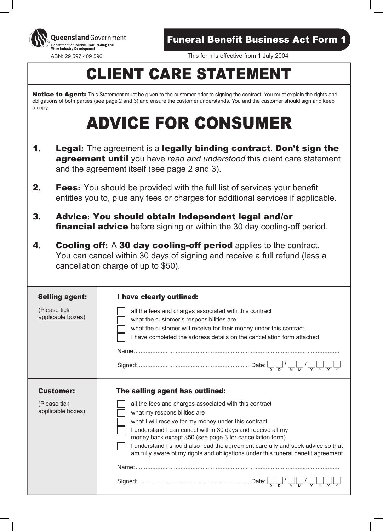

Queensland Government Department of Tourism, Fair Trading and **Wine Industry Development** 

ABN: 29 597 409 596 This form is effective from 1 July 2004

# CLIENT CARE STATEMENT

Notice to Agent: This Statement must be given to the customer prior to signing the contract. You must explain the rights and obligations of both parties (see page 2 and 3) and ensure the customer understands. You and the customer should sign and keep a copy.

# ADVICE FOR CONSUMER

- 1**.** Legal**:** The agreement is a legally binding contract. Don't sign the **agreement until** you have *read and understood* this client care statement and the agreement itself (see page 2 and 3).
- **2. Fees:** You should be provided with the full list of services your benefit entitles you to, plus any fees or charges for additional services if applicable.
- 3**.** Advice**:** You should obtain independent legal and /or **financial advice** before signing or within the 30 day cooling-off period.
- 4**.** Cooling off**:** A 30 day cooling-off period applies to the contract. You can cancel within 30 days of signing and receive a full refund (less a cancellation charge of up to \$50).

## Selling agent: I have clearly outlined:

(Please tick applicable boxes)

all the fees and charges associated with this contract what the customer's responsibilities are what the customer will receive for their money under this contract I have completed the address details on the cancellation form attached Name:..........................................................................................................................

Signed: ...................................................................Date: / /

# Customer:

# The selling agent has outlined:

(Please tick applicable boxes)

| all the fees and charges associated with this contract<br>what my responsibilities are                                                                                 |
|------------------------------------------------------------------------------------------------------------------------------------------------------------------------|
| what I will receive for my money under this contract                                                                                                                   |
| I understand I can cancel within 30 days and receive all my<br>money back except \$50 (see page 3 for cancellation form)                                               |
| I understand I should also read the agreement carefully and seek advice so that I<br>am fully aware of my rights and obligations under this funeral benefit agreement. |
| Name:                                                                                                                                                                  |
| Date:                                                                                                                                                                  |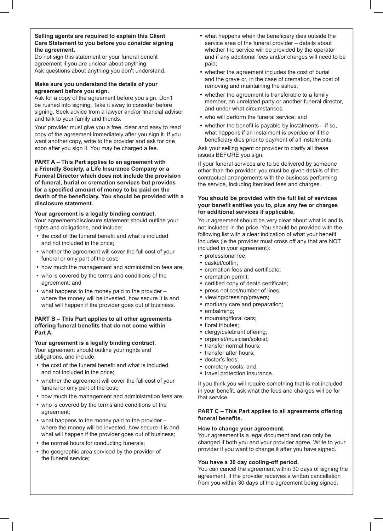#### **Selling agents are required to explain this Client Care Statement to you before you consider signing the agreement.**

Do not sign this statement or your funeral benefit agreement if you are unclear about anything. Ask questions about anything you don't understand.

#### **Make sure you understand the details of your agreement before you sign.**

Ask for a copy of the agreement before you sign. Don't be rushed into signing. Take it away to consider before signing. Seek advice from a lawyer and/or financial adviser and talk to your family and friends.

Your provider must give you a free, clear and easy to read copy of the agreement immediately after you sign it. If you want another copy, write to the provider and ask for one soon after you sign it. You may be charged a fee.

#### **PART A – This Part applies to an agreement with a Friendly Society, a Life Insurance Company or a Funeral Director which does not include the provision of funeral, burial or cremation services but provides** for a specified amount of money to be paid on the death of the beneficiary. You should be provided with a **disclosure statement.**

#### **Your agreement is a legally binding contract.**

Your agreement/disclosure statement should outline your rights and obligations, and include:

- the cost of the funeral benefit and what is included and not included in the price;
- whether the agreement will cover the full cost of your funeral or only part of the cost;
- how much the management and administration fees are;
- who is covered by the terms and conditions of the agreement; and
- what happens to the money paid to the provider where the money will be invested, how secure it is and what will happen if the provider goes out of business.

#### **PART B – This Part applies to all other agreements** offering funeral benefits that do not come within **Part A.**

## **Your agreement is a legally binding contract.**

Your agreement should outline your rights and obligations, and include:

- the cost of the funeral benefit and what is included and not included in the price;
- whether the agreement will cover the full cost of your funeral or only part of the cost;
- how much the management and administration fees are;
- who is covered by the terms and conditions of the agreement;
- what happens to the money paid to the provider where the money will be invested, how secure it is and what will happen if the provider goes out of business;
- the normal hours for conducting funerals;
- the geographic area serviced by the provider of the funeral service;
- what happens when the beneficiary dies outside the service area of the funeral provider – details about whether the service will be provided by the operator and if any additional fees and/or charges will need to be paid;
- whether the agreement includes the cost of burial and the grave or, in the case of cremation, the cost of removing and maintaining the ashes;
- whether the agreement is transferable to a family member, an unrelated party or another funeral director, and under what circumstances;
- who will perform the funeral service; and
- whether the benefit is payable by instalments  $-$  if so, what happens if an instalment is overdue or if the beneficiary dies prior to payment of all instalments.

Ask your selling agent or provider to clarify all these issues BEFORE you sign.

If your funeral services are to be delivered by someone other than the provider, you must be given details of the contractual arrangements with the business performing the service, including itemised fees and charges.

#### **You should be provided with the full list of services** your benefit entitles you to, plus any fee or charges **for additional services if applicable.**

Your agreement should be very clear about what is and is not included in the price. You should be provided with the following list with a clear indication of what your benefit includes (ie the provider must cross off any that are NOT included in your agreement):

- professional fee;
- casket/coffin;
- cremation fees and certificate;
- cremation permit;
- certified copy of death certificate;
- press notices/number of lines;
- viewing/dressing/prayers;
- mortuary care and preparation;
- embalming;
- mourning/floral cars;
- floral tributes:
- clergy/celebrant offering;
- organist/musician/soloist;
- transfer normal hours;
- transfer after hours;
- doctor's fees;
- cemetery costs; and
- travel protection insurance.

If you think you will require something that is not included in your benefit, ask what the fees and charges will be for that service.

### **PART C – This Part applies to all agreements offering** funeral benefits.

### **How to change your agreement.**

Your agreement is a legal document and can only be changed if both you and your provider agree. Write to your provider if you want to change it after you have signed.

### **You have a 30 day cooling-off period.**

You can cancel the agreement within 30 days of signing the agreement, if the provider receives a written cancellation from you within 30 days of the agreement being signed.